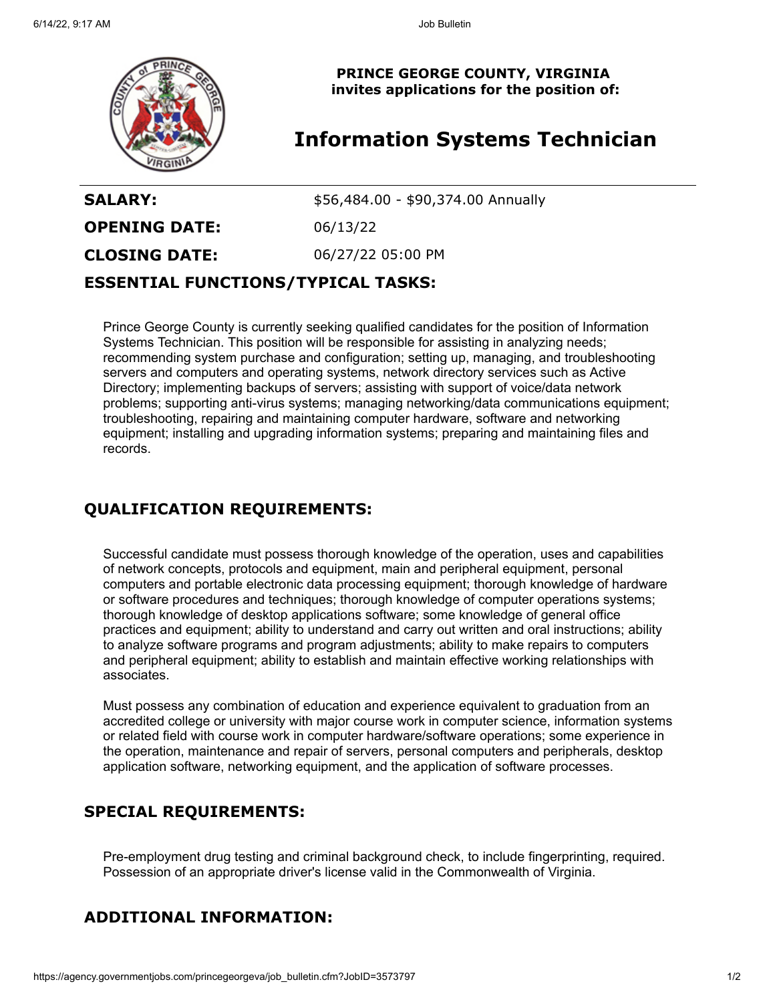

**PRINCE GEORGE COUNTY, VIRGINIA invites applications for the position of:**

# **Information Systems Technician**

**SALARY:**  $$56,484.00 - $90,374.00$  Annually **OPENING DATE:** 06/13/22 **CLOSING DATE:** 06/27/22 05:00 PM **ESSENTIAL FUNCTIONS/TYPICAL TASKS:**

Prince George County is currently seeking qualified candidates for the position of Information Systems Technician. This position will be responsible for assisting in analyzing needs; recommending system purchase and configuration; setting up, managing, and troubleshooting servers and computers and operating systems, network directory services such as Active Directory; implementing backups of servers; assisting with support of voice/data network problems; supporting anti-virus systems; managing networking/data communications equipment; troubleshooting, repairing and maintaining computer hardware, software and networking equipment; installing and upgrading information systems; preparing and maintaining files and records.

## **QUALIFICATION REQUIREMENTS:**

Successful candidate must possess thorough knowledge of the operation, uses and capabilities of network concepts, protocols and equipment, main and peripheral equipment, personal computers and portable electronic data processing equipment; thorough knowledge of hardware or software procedures and techniques; thorough knowledge of computer operations systems; thorough knowledge of desktop applications software; some knowledge of general office practices and equipment; ability to understand and carry out written and oral instructions; ability to analyze software programs and program adjustments; ability to make repairs to computers and peripheral equipment; ability to establish and maintain effective working relationships with associates.

Must possess any combination of education and experience equivalent to graduation from an accredited college or university with major course work in computer science, information systems or related field with course work in computer hardware/software operations; some experience in the operation, maintenance and repair of servers, personal computers and peripherals, desktop application software, networking equipment, and the application of software processes.

## **SPECIAL REQUIREMENTS:**

Pre-employment drug testing and criminal background check, to include fingerprinting, required. Possession of an appropriate driver's license valid in the Commonwealth of Virginia.

## **ADDITIONAL INFORMATION:**